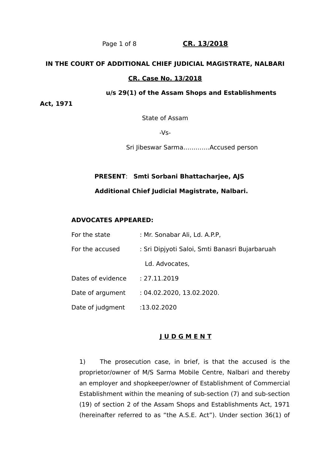# Page 1 of 8 CR. 13/2018

#### **IN THE COURT OF ADDITIONAL CHIEF JUDICIAL MAGISTRATE, NALBARI**

#### **CR. Case No. 13/2018**

#### **u/s 29(1) of the Assam Shops and Establishments**

**Act, 1971**

State of Assam

-Vs-

Sri Jibeswar Sarma………….Accused person

# **PRESENT**: **Smti Sorbani Bhattacharjee, AJS Additional Chief Judicial Magistrate, Nalbari.**

### **ADVOCATES APPEARED:**

| For the state     | : Mr. Sonabar Ali, Ld. A.P.P,                  |
|-------------------|------------------------------------------------|
| For the accused   | : Sri Dipjyoti Saloi, Smti Banasri Bujarbaruah |
|                   | Ld. Advocates,                                 |
| Dates of evidence | : 27.11.2019                                   |
| Date of argument  | : 04.02.2020, 13.02.2020.                      |
| Date of judgment  | :13.02.2020                                    |

# **J U D G M E N T**

1) The prosecution case, in brief, is that the accused is the proprietor/owner of M/S Sarma Mobile Centre, Nalbari and thereby an employer and shopkeeper/owner of Establishment of Commercial Establishment within the meaning of sub-section (7) and sub-section (19) of section 2 of the Assam Shops and Establishments Act, 1971 (hereinafter referred to as "the A.S.E. Act"). Under section 36(1) of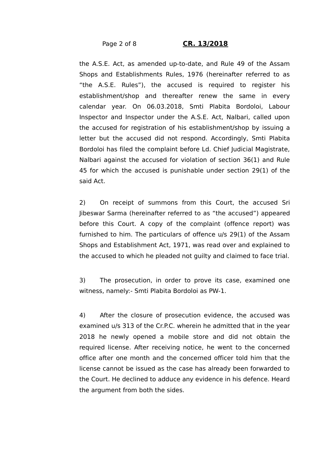#### Page 2 of 8 **CR. 13/2018**

the A.S.E. Act, as amended up-to-date, and Rule 49 of the Assam Shops and Establishments Rules, 1976 (hereinafter referred to as "the A.S.E. Rules"), the accused is required to register his establishment/shop and thereafter renew the same in every calendar year. On 06.03.2018, Smti Plabita Bordoloi, Labour Inspector and Inspector under the A.S.E. Act, Nalbari, called upon the accused for registration of his establishment/shop by issuing a letter but the accused did not respond. Accordingly, Smti Plabita Bordoloi has filed the complaint before Ld. Chief Judicial Magistrate, Nalbari against the accused for violation of section 36(1) and Rule 45 for which the accused is punishable under section 29(1) of the said Act.

2) On receipt of summons from this Court, the accused Sri Jibeswar Sarma (hereinafter referred to as "the accused") appeared before this Court. A copy of the complaint (offence report) was furnished to him. The particulars of offence u/s 29(1) of the Assam Shops and Establishment Act, 1971, was read over and explained to the accused to which he pleaded not guilty and claimed to face trial.

3) The prosecution, in order to prove its case, examined one witness, namely:- Smti Plabita Bordoloi as PW-1.

4) After the closure of prosecution evidence, the accused was examined u/s 313 of the Cr.P.C. wherein he admitted that in the year 2018 he newly opened a mobile store and did not obtain the required license. After receiving notice, he went to the concerned office after one month and the concerned officer told him that the license cannot be issued as the case has already been forwarded to the Court. He declined to adduce any evidence in his defence. Heard the argument from both the sides.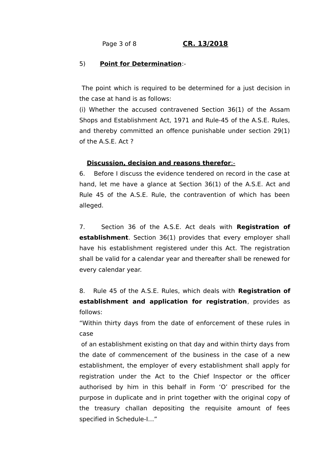## Page 3 of 8 **CR. 13/2018**

## 5) **Point for Determination**:-

 The point which is required to be determined for a just decision in the case at hand is as follows:

(i) Whether the accused contravened Section 36(1) of the Assam Shops and Establishment Act, 1971 and Rule-45 of the A.S.E. Rules, and thereby committed an offence punishable under section 29(1) of the A.S.E. Act ?

#### **Discussion, decision and reasons therefor** :-

6. Before I discuss the evidence tendered on record in the case at hand, let me have a glance at Section 36(1) of the A.S.E. Act and Rule 45 of the A.S.E. Rule, the contravention of which has been alleged.

7. Section 36 of the A.S.E. Act deals with **Registration of establishment**. Section 36(1) provides that every employer shall have his establishment registered under this Act. The registration shall be valid for a calendar year and thereafter shall be renewed for every calendar year.

8. Rule 45 of the A.S.E. Rules, which deals with **Registration of establishment and application for registration**, provides as follows:

"Within thirty days from the date of enforcement of these rules in case

 of an establishment existing on that day and within thirty days from the date of commencement of the business in the case of a new establishment, the employer of every establishment shall apply for registration under the Act to the Chief Inspector or the officer authorised by him in this behalf in Form 'O' prescribed for the purpose in duplicate and in print together with the original copy of the treasury challan depositing the requisite amount of fees specified in Schedule-I…"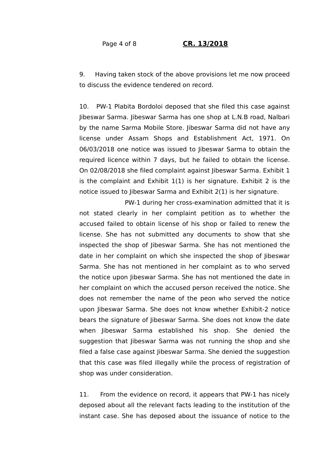9. Having taken stock of the above provisions let me now proceed to discuss the evidence tendered on record.

10. PW-1 Plabita Bordoloi deposed that she filed this case against Jibeswar Sarma. Jibeswar Sarma has one shop at L.N.B road, Nalbari by the name Sarma Mobile Store. Jibeswar Sarma did not have any license under Assam Shops and Establishment Act, 1971. On 06/03/2018 one notice was issued to Jibeswar Sarma to obtain the required licence within 7 days, but he failed to obtain the license. On 02/08/2018 she filed complaint against Jibeswar Sarma. Exhibit 1 is the complaint and Exhibit 1(1) is her signature. Exhibit 2 is the notice issued to Jibeswar Sarma and Exhibit 2(1) is her signature.

 PW-1 during her cross-examination admitted that it is not stated clearly in her complaint petition as to whether the accused failed to obtain license of his shop or failed to renew the license. She has not submitted any documents to show that she inspected the shop of Jibeswar Sarma. She has not mentioned the date in her complaint on which she inspected the shop of Jibeswar Sarma. She has not mentioned in her complaint as to who served the notice upon Jibeswar Sarma. She has not mentioned the date in her complaint on which the accused person received the notice. She does not remember the name of the peon who served the notice upon Jibeswar Sarma. She does not know whether Exhibit-2 notice bears the signature of Jibeswar Sarma. She does not know the date when Jibeswar Sarma established his shop. She denied the suggestion that Jibeswar Sarma was not running the shop and she filed a false case against Jibeswar Sarma. She denied the suggestion that this case was filed illegally while the process of registration of shop was under consideration.

11. From the evidence on record, it appears that PW-1 has nicely deposed about all the relevant facts leading to the institution of the instant case. She has deposed about the issuance of notice to the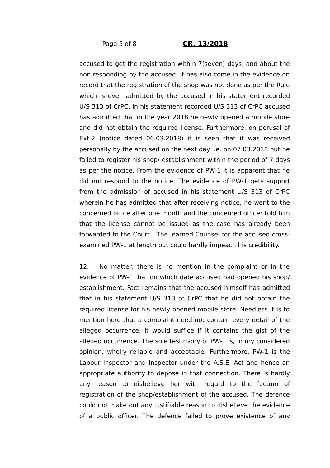#### Page 5 of 8 **CR. 13/2018**

accused to get the registration within 7(seven) days, and about the non-responding by the accused. It has also come in the evidence on record that the registration of the shop was not done as per the Rule which is even admitted by the accused in his statement recorded U/S 313 of CrPC. In his statement recorded U/S 313 of CrPC accused has admitted that in the year 2018 he newly opened a mobile store and did not obtain the required license. Furthermore, on perusal of Ext-2 (notice dated 06.03.2018) it is seen that it was received personally by the accused on the next day i.e. on 07.03.2018 but he failed to register his shop/ establishment within the period of 7 days as per the notice. From the evidence of PW-1 it is apparent that he did not respond to the notice. The evidence of PW-1 gets support from the admission of accused in his statement U/S 313 of CrPC wherein he has admitted that after receiving notice, he went to the concerned office after one month and the concerned officer told him that the license cannot be issued as the case has already been forwarded to the Court. The learned Counsel for the accused crossexamined PW-1 at length but could hardly impeach his credibility.

12. No matter, there is no mention in the complaint or in the evidence of PW-1 that on which date accused had opened his shop/ establishment. Fact remains that the accused himself has admitted that in his statement U/S 313 of CrPC that he did not obtain the required license for his newly opened mobile store. Needless it is to mention here that a complaint need not contain every detail of the alleged occurrence. It would suffice if it contains the gist of the alleged occurrence. The sole testimony of PW-1 is, in my considered opinion, wholly reliable and acceptable. Furthermore, PW-1 is the Labour Inspector and Inspector under the A.S.E. Act and hence an appropriate authority to depose in that connection. There is hardly any reason to disbelieve her with regard to the factum of registration of the shop/establishment of the accused. The defence could not make out any justifiable reason to disbelieve the evidence of a public officer. The defence failed to prove existence of any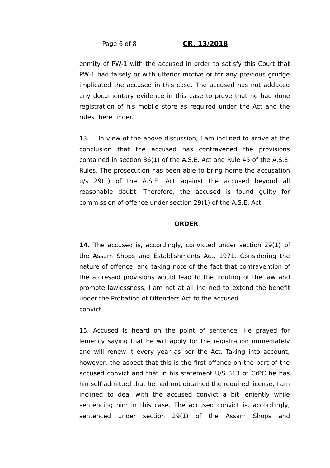### Page 6 of 8 **CR. 13/2018**

enmity of PW-1 with the accused in order to satisfy this Court that PW-1 had falsely or with ulterior motive or for any previous grudge implicated the accused in this case. The accused has not adduced any documentary evidence in this case to prove that he had done registration of his mobile store as required under the Act and the rules there under.

13. In view of the above discussion, I am inclined to arrive at the conclusion that the accused has contravened the provisions contained in section 36(1) of the A.S.E. Act and Rule 45 of the A.S.E. Rules. The prosecution has been able to bring home the accusation u/s 29(1) of the A.S.E. Act against the accused beyond all reasonable doubt. Therefore, the accused is found guilty for commission of offence under section 29(1) of the A.S.E. Act.

### **ORDER**

14. The accused is, accordingly, convicted under section 29(1) of the Assam Shops and Establishments Act, 1971. Considering the nature of offence, and taking note of the fact that contravention of the aforesaid provisions would lead to the flouting of the law and promote lawlessness, I am not at all inclined to extend the benefit under the Probation of Offenders Act to the accused convict.

15. Accused is heard on the point of sentence. He prayed for leniency saying that he will apply for the registration immediately and will renew it every year as per the Act. Taking into account, however, the aspect that this is the first offence on the part of the accused convict and that in his statement U/S 313 of CrPC he has himself admitted that he had not obtained the required license, I am inclined to deal with the accused convict a bit leniently while sentencing him in this case. The accused convict is, accordingly, sentenced under section 29(1) of the Assam Shops and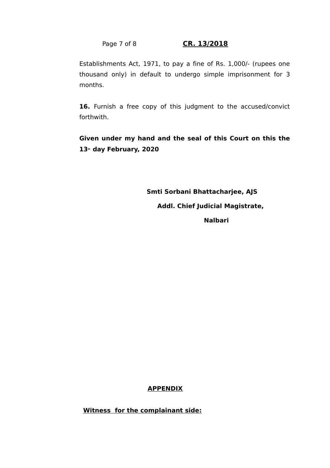Page 7 of 8 CR. 13/2018

Establishments Act, 1971, to pay a fine of Rs. 1,000/- (rupees one thousand only) in default to undergo simple imprisonment for 3 months.

16. Furnish a free copy of this judgment to the accused/convict forthwith.

**Given under my hand and the seal of this Court on this the 13th day February, 2020**

> **Smti Sorbani Bhattacharjee, AJS Addl. Chief Judicial Magistrate, Nalbari**

# **APPENDIX**

**Witness for the complainant side:**